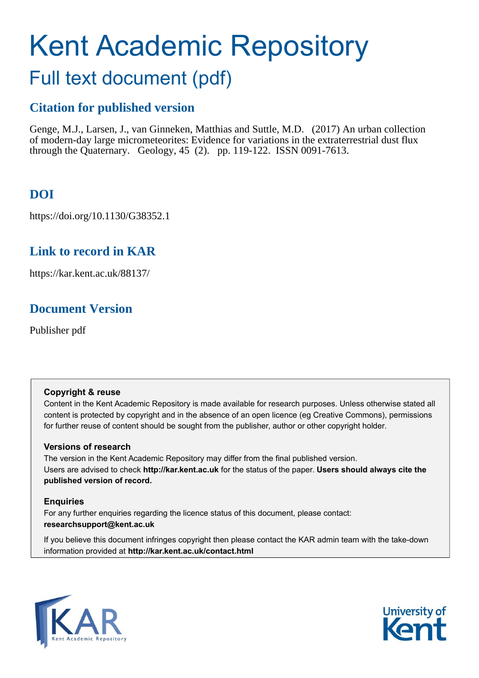# Kent Academic Repository

# Full text document (pdf)

## **Citation for published version**

Genge, M.J., Larsen, J., van Ginneken, Matthias and Suttle, M.D. (2017) An urban collection of modern-day large micrometeorites: Evidence for variations in the extraterrestrial dust flux through the Quaternary. Geology, 45 (2). pp. 119-122. ISSN 0091-7613.

## **DOI**

https://doi.org/10.1130/G38352.1

## **Link to record in KAR**

https://kar.kent.ac.uk/88137/

## **Document Version**

Publisher pdf

## **Copyright & reuse**

Content in the Kent Academic Repository is made available for research purposes. Unless otherwise stated all content is protected by copyright and in the absence of an open licence (eg Creative Commons), permissions for further reuse of content should be sought from the publisher, author or other copyright holder.

## **Versions of research**

The version in the Kent Academic Repository may differ from the final published version. Users are advised to check **http://kar.kent.ac.uk** for the status of the paper. **Users should always cite the published version of record.**

## **Enquiries**

For any further enquiries regarding the licence status of this document, please contact: **researchsupport@kent.ac.uk**

If you believe this document infringes copyright then please contact the KAR admin team with the take-down information provided at **http://kar.kent.ac.uk/contact.html**



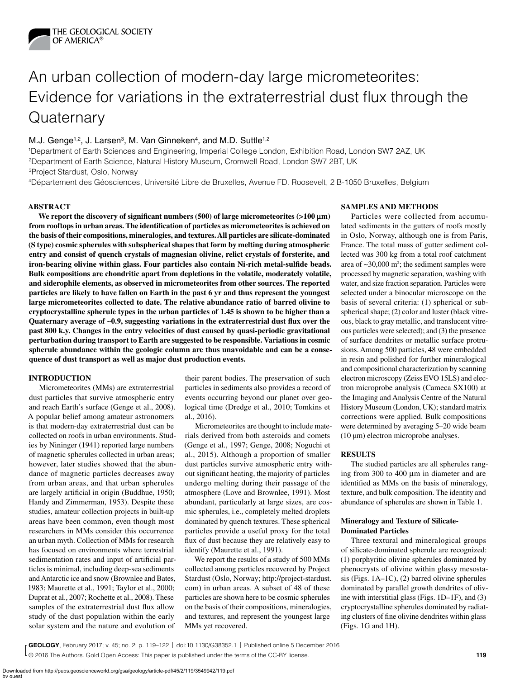

# An urban collection of modern-day large micrometeorites: Evidence for variations in the extraterrestrial dust flux through the **Quaternary**

#### M.J. Genge<sup>1,2</sup>, J. Larsen<sup>3</sup>, M. Van Ginneken<sup>4</sup>, and M.D. Suttle<sup>1,2</sup>

1Department of Earth Sciences and Engineering, Imperial College London, Exhibition Road, London SW7 2AZ, UK 2Department of Earth Science, Natural History Museum, Cromwell Road, London SW7 2BT, UK 3Project Stardust, Oslo, Norway

4Département des Géosciences, Université Libre de Bruxelles, Avenue FD. Roosevelt, 2 B-1050 Bruxelles, Belgium

#### **ABSTRACT**

We report the discovery of significant numbers (500) of large micrometeorites  $(>100 \mu m)$ **from rooftops in urban areas. The identification of particles as micrometeorites is achieved on the basis of their compositions, mineralogies, and textures. All particles are silicate-dominated (S type) cosmic spherules with subspherical shapes that form by melting during atmospheric entry and consist of quench crystals of magnesian olivine, relict crystals of forsterite, and iron-bearing olivine within glass. Four particles also contain Ni-rich metal-sulfide beads. Bulk compositions are chondritic apart from depletions in the volatile, moderately volatile, and siderophile elements, as observed in micrometeorites from other sources. The reported particles are likely to have fallen on Earth in the past 6 yr and thus represent the youngest large micrometeorites collected to date. The relative abundance ratio of barred olivine to cryptocrystalline spherule types in the urban particles of 1.45 is shown to be higher than a Quaternary average of ~0.9, suggesting variations in the extraterrestrial dust flux over the past 800 k.y. Changes in the entry velocities of dust caused by quasi-periodic gravitational perturbation during transport to Earth are suggested to be responsible. Variations in cosmic spherule abundance within the geologic column are thus unavoidable and can be a consequence of dust transport as well as major dust production events.**

#### **INTRODUCTION**

Micrometeorites (MMs) are extraterrestrial dust particles that survive atmospheric entry and reach Earth's surface (Genge et al., 2008). A popular belief among amateur astronomers is that modern-day extraterrestrial dust can be collected on roofs in urban environments. Studies by Nininger (1941) reported large numbers of magnetic spherules collected in urban areas; however, later studies showed that the abundance of magnetic particles decreases away from urban areas, and that urban spherules are largely artificial in origin (Buddhue, 1950; Handy and Zimmerman, 1953). Despite these studies, amateur collection projects in built-up areas have been common, even though most researchers in MMs consider this occurrence an urban myth. Collection of MMs for research has focused on environments where terrestrial sedimentation rates and input of artificial particles is minimal, including deep-sea sediments and Antarctic ice and snow (Brownlee and Bates, 1983; Maurette et al., 1991; Taylor et al., 2000; Duprat et al., 2007; Rochette et al., 2008). These samples of the extraterrestrial dust flux allow study of the dust population within the early solar system and the nature and evolution of

their parent bodies. The preservation of such particles in sediments also provides a record of events occurring beyond our planet over geological time (Dredge et al., 2010; Tomkins et al., 2016).

Micrometeorites are thought to include materials derived from both asteroids and comets (Genge et al., 1997; Genge, 2008; Noguchi et al., 2015). Although a proportion of smaller dust particles survive atmospheric entry without significant heating, the majority of particles undergo melting during their passage of the atmosphere (Love and Brownlee, 1991). Most abundant, particularly at large sizes, are cosmic spherules, i.e., completely melted droplets dominated by quench textures. These spherical particles provide a useful proxy for the total flux of dust because they are relatively easy to identify (Maurette et al., 1991).

We report the results of a study of 500 MMs collected among particles recovered by Project Stardust (Oslo, Norway; http://project-stardust. com) in urban areas. A subset of 48 of these particles are shown here to be cosmic spherules on the basis of their compositions, mineralogies, and textures, and represent the youngest large MMs yet recovered.

#### **SAMPLES AND METHODS**

Particles were collected from accumulated sediments in the gutters of roofs mostly in Oslo, Norway, although one is from Paris, France. The total mass of gutter sediment collected was 300 kg from a total roof catchment area of  $\sim$ 30,000 m<sup>2</sup>; the sediment samples were processed by magnetic separation, washing with water, and size fraction separation. Particles were selected under a binocular microscope on the basis of several criteria: (1) spherical or subspherical shape; (2) color and luster (black vitreous, black to gray metallic, and translucent vitreous particles were selected); and (3) the presence of surface dendrites or metallic surface protrusions. Among 500 particles, 48 were embedded in resin and polished for further mineralogical and compositional characterization by scanning electron microscopy (Zeiss EVO 15LS) and electron microprobe analysis (Cameca SX100) at the Imaging and Analysis Centre of the Natural History Museum (London, UK); standard matrix corrections were applied. Bulk compositions were determined by averaging 5–20 wide beam (10 µm) electron microprobe analyses.

#### **RESULTS**

The studied particles are all spherules ranging from 300 to 400 µm in diameter and are identified as MMs on the basis of mineralogy, texture, and bulk composition. The identity and abundance of spherules are shown in Table 1.

#### **Mineralogy and Texture of Silicate-Dominated Particles**

Three textural and mineralogical groups of silicate-dominated spherule are recognized: (1) porphyritic olivine spherules dominated by phenocrysts of olivine within glassy mesostasis (Figs. 1A–1C), (2) barred olivine spherules dominated by parallel growth dendrites of olivine with interstitial glass (Figs. 1D–1F), and (3) cryptocrystalline spherules dominated by radiating clusters of fine olivine dendrites within glass (Figs. 1G and 1H).

© 2016 The Authors. Gold Open Access: This paper is published under the terms of the CC-BY license. **The author of the CC-BY license** and the CO-BY license and the CO-BY license and the CO-BY license and the CO-BY license **GEOLOGY**, February 2017; v. 45; no. 2; p. 119–122 | doi:10.1130/G38352.1 | Published online 5 December 2016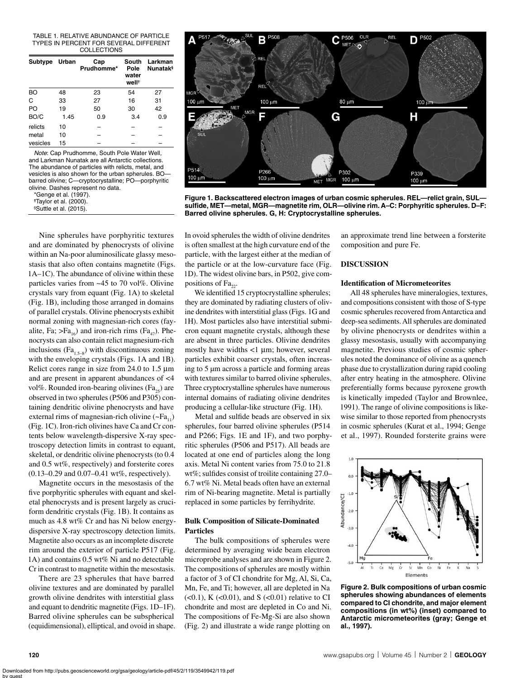#### TABLE 1. RELATIVE ABUNDANCE OF PARTICLE TYPES IN PERCENT FOR SEVERAL DIFFERENT COLLECTIONS

| Subtype Urban |      | Cap<br>Prudhomme* | South<br>Pole<br>water<br>well <sup>+</sup> | Larkman<br><b>Nunatak</b> § |
|---------------|------|-------------------|---------------------------------------------|-----------------------------|
| BO            | 48   | 23                | 54                                          | 27                          |
| C             | 33   | 27                | 16                                          | 31                          |
| PO.           | 19   | 50                | 30                                          | 42                          |
| BO/C          | 1.45 | 0.9               | 3.4                                         | 0.9                         |
| relicts       | 10   |                   |                                             |                             |
| metal         | 10   |                   |                                             |                             |
| vesicles      | 15   |                   |                                             |                             |

*Note*: Cap Prudhomme, South Pole Water Well, and Larkman Nunatak are all Antarctic collections. The abundance of particles with relicts, metal, and vesicles is also shown for the urban spherules. BO barred olivine; C—cryptocrystalline; PO—porphyritic olivine. Dashes represent no data.

\*Genge et al. (1997).

**†**Taylor et al. (2000).

§Suttle et al. (2015).

Nine spherules have porphyritic textures and are dominated by phenocrysts of olivine within an Na-poor aluminosilicate glassy mesostasis that also often contains magnetite (Figs. 1A–1C). The abundance of olivine within these particles varies from ~45 to 70 vol%. Olivine crystals vary from equant (Fig. 1A) to skeletal (Fig. 1B), including those arranged in domains of parallel crystals. Olivine phenocrysts exhibit normal zoning with magnesian-rich cores (fayalite, Fa;  $>Fa_{16}$ ) and iron-rich rims (Fa<sub>47</sub>). Phenocrysts can also contain relict magnesium-rich inclusions ( $Fa_{1.5-8}$ ) with discontinuous zoning with the enveloping crystals (Figs. 1A and 1B). Relict cores range in size from 24.0 to 1.5  $\mu$ m and are present in apparent abundances of <4 vol%. Rounded iron-bearing olivines ( $Fa_{25}$ ) are observed in two spherules (P506 and P305) containing dendritic olivine phenocrysts and have external rims of magnesian-rich olivine  $({\sim}Fa_{11})$ (Fig. 1C). Iron-rich olivines have Ca and Cr contents below wavelength-dispersive X-ray spectroscopy detection limits in contrast to equant, skeletal, or dendritic olivine phenocrysts (to 0.4 and 0.5 wt%, respectively) and forsterite cores (0.13–0.29 and 0.07–0.41 wt%, respectively).

Magnetite occurs in the mesostasis of the five porphyritic spherules with equant and skeletal phenocrysts and is present largely as cruciform dendritic crystals (Fig. 1B). It contains as much as 4.8 wt% Cr and has Ni below energydispersive X-ray spectroscopy detection limits. Magnetite also occurs as an incomplete discrete rim around the exterior of particle P517 (Fig. 1A) and contains 0.5 wt% Ni and no detectable Cr in contrast to magnetite within the mesostasis.

There are 23 spherules that have barred olivine textures and are dominated by parallel growth olivine dendrites with interstitial glass and equant to dendritic magnetite (Figs. 1D–1F). Barred olivine spherules can be subspherical (equidimensional), elliptical, and ovoid in shape.



**Figure 1. Backscattered electron images of urban cosmic spherules. REL—relict grain, SUL sulfide, MET—metal, MGR—magnetite rim, OLR—olivine rim. A–C: Porphyritic spherules. D–F: Barred olivine spherules. G, H: Cryptocrystalline spherules.**

In ovoid spherules the width of olivine dendrites is often smallest at the high curvature end of the particle, with the largest either at the median of the particle or at the low-curvature face (Fig. 1D). The widest olivine bars, in P502, give compositions of  $Fa_{22}$ .

We identified 15 cryptocrystalline spherules; they are dominated by radiating clusters of olivine dendrites with interstitial glass (Figs. 1G and 1H). Most particles also have interstitial submicron equant magnetite crystals, although these are absent in three particles. Olivine dendrites mostly have widths  $\langle 1 \mu m$ ; however, several particles exhibit coarser crystals, often increasing to 5 µm across a particle and forming areas with textures similar to barred olivine spherules. Three cryptocrystalline spherules have numerous internal domains of radiating olivine dendrites producing a cellular-like structure (Fig. 1H).

Metal and sulfide beads are observed in six spherules, four barred olivine spherules (P514 and P266; Figs. 1E and 1F), and two porphyritic spherules (P506 and P517). All beads are located at one end of particles along the long axis. Metal Ni content varies from 75.0 to 21.8 wt%; sulfides consist of troilite containing 27.0– 6.7 wt% Ni. Metal beads often have an external rim of Ni-bearing magnetite. Metal is partially replaced in some particles by ferrihydrite.

#### **Bulk Composition of Silicate-Dominated Particles**

The bulk compositions of spherules were determined by averaging wide beam electron microprobe analyses and are shown in Figure 2. The compositions of spherules are mostly within a factor of 3 of CI chondrite for Mg, Al, Si, Ca, Mn, Fe, and Ti; however, all are depleted in Na  $(<0.1)$ , K $(<0.01)$ , and S $(<0.01)$  relative to CI chondrite and most are depleted in Co and Ni. The compositions of Fe-Mg-Si are also shown (Fig. 2) and illustrate a wide range plotting on

an approximate trend line between a forsterite composition and pure Fe.

#### **DISCUSSION**

#### **Identification of Micrometeorites**

All 48 spherules have mineralogies, textures, and compositions consistent with those of S-type cosmic spherules recovered from Antarctica and deep-sea sediments. All spherules are dominated by olivine phenocrysts or dendrites within a glassy mesostasis, usually with accompanying magnetite. Previous studies of cosmic spherules noted the dominance of olivine as a quench phase due to crystallization during rapid cooling after entry heating in the atmosphere. Olivine preferentially forms because pyroxene growth is kinetically impeded (Taylor and Brownlee, 1991). The range of olivine compositions is likewise similar to those reported from phenocrysts in cosmic spherules (Kurat et al., 1994; Genge et al., 1997). Rounded forsterite grains were



**Figure 2. Bulk compositions of urban cosmic spherules showing abundances of elements compared to CI chondrite, and major element compositions (in wt%) (inset) compared to Antarctic micrometeorites (gray; Genge et al., 1997).**

by guest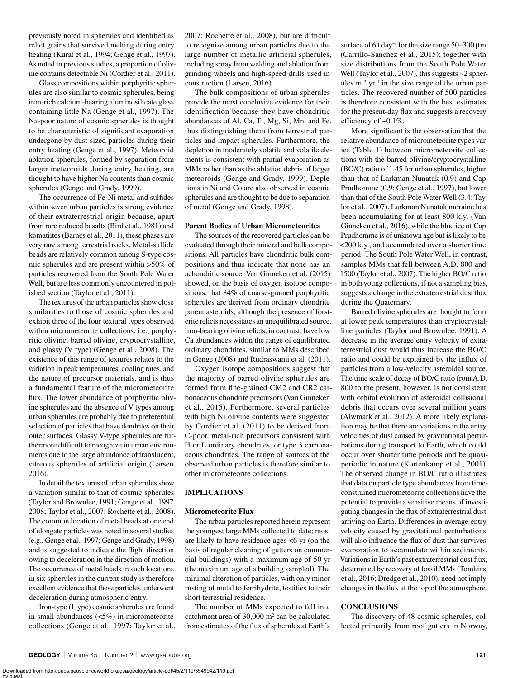previously noted in spherules and identified as relict grains that survived melting during entry heating (Kurat et al., 1994; Genge et al., 1997). As noted in previous studies, a proportion of olivine contains detectable Ni (Cordier et al., 2011).

Glass compositions within porphyritic spherules are also similar to cosmic spherules, being iron-rich calcium-bearing aluminosilicate glass containing little Na (Genge et al., 1997). The Na-poor nature of cosmic spherules is thought to be characteristic of significant evaporation undergone by dust-sized particles during their entry heating (Genge et al., 1997). Meteoroid ablation spherules, formed by separation from larger meteoroids during entry heating, are thought to have higher Na contents than cosmic spherules (Genge and Grady, 1999).

The occurrence of Fe-Ni metal and sulfides within seven urban particles is strong evidence of their extraterrestrial origin because, apart from rare reduced basalts (Bird et al., 1981) and komatiites (Barnes et al., 2011), these phases are very rare among terrestrial rocks. Metal-sulfide beads are relatively common among S-type cosmic spherules and are present within >50% of particles recovered from the South Pole Water Well, but are less commonly encountered in polished section (Taylor et al., 2011).

The textures of the urban particles show close similarities to those of cosmic spherules and exhibit three of the four textural types observed within micrometeorite collections, i.e., porphyritic olivine, barred olivine, cryptocrystalline, and glassy (V type) (Genge et al., 2008). The existence of this range of textures relates to the variation in peak temperatures, cooling rates, and the nature of precursor materials, and is thus a fundamental feature of the micrometeorite flux. The lower abundance of porphyritic olivine spherules and the absence of V types among urban spherules are probably due to preferential selection of particles that have dendrites on their outer surfaces. Glassy V-type spherules are furthermore difficult to recognize in urban environments due to the large abundance of translucent, vitreous spherules of artificial origin (Larsen, 2016).

In detail the textures of urban spherules show a variation similar to that of cosmic spherules (Taylor and Brownlee, 1991; Genge et al., 1997, 2008; Taylor et al., 2007; Rochette et al., 2008). The common location of metal beads at one end of elongate particles was noted in several studies (e.g., Genge et al., 1997; Genge and Grady, 1998) and is suggested to indicate the flight direction owing to deceleration in the direction of motion. The occurrence of metal beads in such locations in six spherules in the current study is therefore excellent evidence that these particles underwent deceleration during atmospheric entry.

Iron-type (I type) cosmic spherules are found in small abundances (<5%) in micrometeorite collections (Genge et al., 1997; Taylor et al., 2007; Rochette et al., 2008), but are difficult to recognize among urban particles due to the large number of metallic artificial spherules, including spray from welding and ablation from grinding wheels and high-speed drills used in construction (Larsen, 2016).

The bulk compositions of urban spherules provide the most conclusive evidence for their identification because they have chondritic abundances of Al, Ca, Ti, Mg, Si, Mn, and Fe, thus distinguishing them from terrestrial particles and impact spherules. Furthermore, the depletion in moderately volatile and volatile elements is consistent with partial evaporation as MMs rather than as the ablation debris of larger meteoroids (Genge and Grady, 1999). Depletions in Ni and Co are also observed in cosmic spherules and are thought to be due to separation of metal (Genge and Grady, 1998).

#### **Parent Bodies of Urban Micrometeorites**

The sources of the recovered particles can be evaluated through their mineral and bulk compositions. All particles have chondritic bulk compositions and thus indicate that none has an achondritic source. Van Ginneken et al. (2015) showed, on the basis of oxygen isotope compositions, that 84% of coarse-grained porphyritic spherules are derived from ordinary chondrite parent asteroids, although the presence of forsterite relicts necessitates an unequilibrated source. Iron-bearing olivine relicts, in contrast, have low Ca abundances within the range of equilibrated ordinary chondrites, similar to MMs described in Genge (2008) and Rudraswami et al. (2011).

Oxygen isotope compositions suggest that the majority of barred olivine spherules are formed from fine-grained CM2 and CR2 carbonaceous chondrite precursors (Van Ginneken et al., 2015). Furthermore, several particles with high Ni olivine contents were suggested by Cordier et al. (2011) to be derived from C-poor, metal-rich precursors consistent with H or L ordinary chondrites, or type 3 carbonaceous chondrites. The range of sources of the observed urban particles is therefore similar to other micrometeorite collections.

#### **IMPLICATIONS**

#### **Micrometeorite Flux**

The urban particles reported herein represent the youngest large MMs collected to date; most are likely to have residence ages <6 yr (on the basis of regular cleaning of gutters on commercial buildings) with a maximum age of 50 yr (the maximum age of a building sampled). The minimal alteration of particles, with only minor rusting of metal to ferrihydrite, testifies to their short terrestrial residence.

The number of MMs expected to fall in a catchment area of 30,000 m<sup>2</sup> can be calculated from estimates of the flux of spherules at Earth's

surface of 6 t day<sup>-1</sup> for the size range  $50-300 \,\text{\mu m}$ (Carrillo-Sánchez et al., 2015); together with size distributions from the South Pole Water Well (Taylor et al., 2007), this suggests ~2 spherules  $m^{-2}$  yr<sup>-1</sup> in the size range of the urban particles. The recovered number of 500 particles is therefore consistent with the best estimates for the present-day flux and suggests a recovery efficiency of ~0.1%.

More significant is the observation that the relative abundance of micrometeorite types varies (Table 1) between micrometeorite collections with the barred olivine/cryptocrystalline (BO/C) ratio of 1.45 for urban spherules, higher than that of Larkman Nunatak (0.9) and Cap Prudhomme (0.9; Genge et al., 1997), but lower than that of the South Pole Water Well (3.4; Taylor et al., 2007). Larkman Nunatak moraine has been accumulating for at least 800 k.y. (Van Ginneken et al., 2016), while the blue ice of Cap Prudhomme is of unknown age but is likely to be <200 k.y., and accumulated over a shorter time period. The South Pole Water Well, in contrast, samples MMs that fell between A.D. 800 and 1500 (Taylor et al., 2007). The higher BO/C ratio in both young collections, if not a sampling bias, suggests a change in the extraterrestrial dust flux during the Quaternary.

Barred olivine spherules are thought to form at lower peak temperatures than cryptocrystalline particles (Taylor and Brownlee, 1991). A decrease in the average entry velocity of extraterrestrial dust would thus increase the BO/C ratio and could be explained by the influx of particles from a low-velocity asteroidal source. The time scale of decay of BO/C ratio from A.D. 800 to the present, however, is not consistent with orbital evolution of asteroidal collisional debris that occurs over several million years (Alwmark et al., 2012). A more likely explanation may be that there are variations in the entry velocities of dust caused by gravitational perturbations during transport to Earth, which could occur over shorter time periods and be quasiperiodic in nature (Kortenkamp et al., 2001). The observed change in BO/C ratio illustrates that data on particle type abundances from timeconstrained micrometeorite collections have the potential to provide a sensitive means of investigating changes in the flux of extraterrestrial dust arriving on Earth. Differences in average entry velocity caused by gravitational perturbations will also influence the flux of dust that survives evaporation to accumulate within sediments. Variations in Earth's past extraterrestrial dust flux, determined by recovery of fossil MMs (Tomkins et al., 2016; Dredge et al., 2010), need not imply changes in the flux at the top of the atmosphere.

#### **CONCLUSIONS**

The discovery of 48 cosmic spherules, collected primarily from roof gutters in Norway,